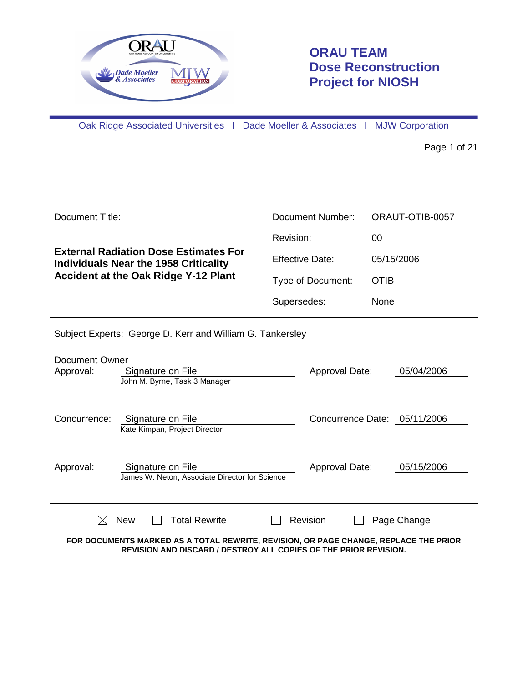

# **ORAU TEAM Dose Reconstruction Project for NIOSH**

Oak Ridge Associated Universities I Dade Moeller & Associates I MJW Corporation

Page 1 of 21

| Document Title:                                                                                                                                          | Document Number:       | ORAUT-OTIB-0057 |  |  |
|----------------------------------------------------------------------------------------------------------------------------------------------------------|------------------------|-----------------|--|--|
|                                                                                                                                                          | Revision:              | 00              |  |  |
| <b>External Radiation Dose Estimates For</b><br><b>Individuals Near the 1958 Criticality</b>                                                             | <b>Effective Date:</b> | 05/15/2006      |  |  |
| <b>Accident at the Oak Ridge Y-12 Plant</b>                                                                                                              | Type of Document:      | <b>OTIB</b>     |  |  |
|                                                                                                                                                          | Supersedes:            | None            |  |  |
| Subject Experts: George D. Kerr and William G. Tankersley                                                                                                |                        |                 |  |  |
| <b>Document Owner</b>                                                                                                                                    |                        |                 |  |  |
| Approval:<br>Signature on File<br>John M. Byrne, Task 3 Manager                                                                                          | Approval Date:         | 05/04/2006      |  |  |
| Concurrence:<br>Concurrence Date: 05/11/2006<br>Signature on File                                                                                        |                        |                 |  |  |
| Kate Kimpan, Project Director                                                                                                                            |                        |                 |  |  |
| Approval:<br>Signature on File<br>James W. Neton, Associate Director for Science                                                                         | Approval Date:         | 05/15/2006      |  |  |
|                                                                                                                                                          |                        |                 |  |  |
| <b>Total Rewrite</b><br>$\bowtie$<br><b>New</b>                                                                                                          | <b>Revision</b>        | Page Change     |  |  |
| FOR DOCUMENTS MARKED AS A TOTAL REWRITE, REVISION, OR PAGE CHANGE, REPLACE THE PRIOR<br>REVISION AND DISCARD / DESTROY ALL COPIES OF THE PRIOR REVISION. |                        |                 |  |  |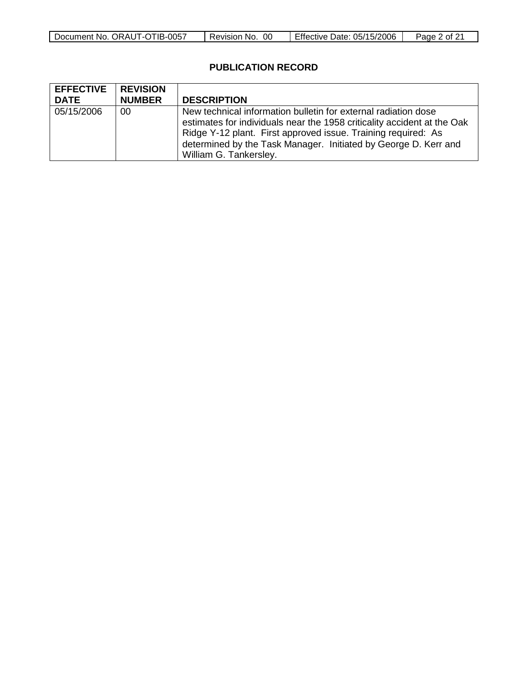| $-0057$<br>Document No.<br>™IB-<br>ORAUT-OT | OC<br>` No.<br>Revision | Date: 05/15/2006<br>Effective | ' ot ∠<br>Page |
|---------------------------------------------|-------------------------|-------------------------------|----------------|

### **PUBLICATION RECORD**

| <b>EFFECTIVE</b><br><b>DATE</b> | <b>REVISION</b><br><b>NUMBER</b> | <b>DESCRIPTION</b>                                                                                                                                                                                                                                                                                      |
|---------------------------------|----------------------------------|---------------------------------------------------------------------------------------------------------------------------------------------------------------------------------------------------------------------------------------------------------------------------------------------------------|
| 05/15/2006                      | 00                               | New technical information bulletin for external radiation dose<br>estimates for individuals near the 1958 criticality accident at the Oak<br>Ridge Y-12 plant. First approved issue. Training required: As<br>determined by the Task Manager. Initiated by George D. Kerr and<br>William G. Tankersley. |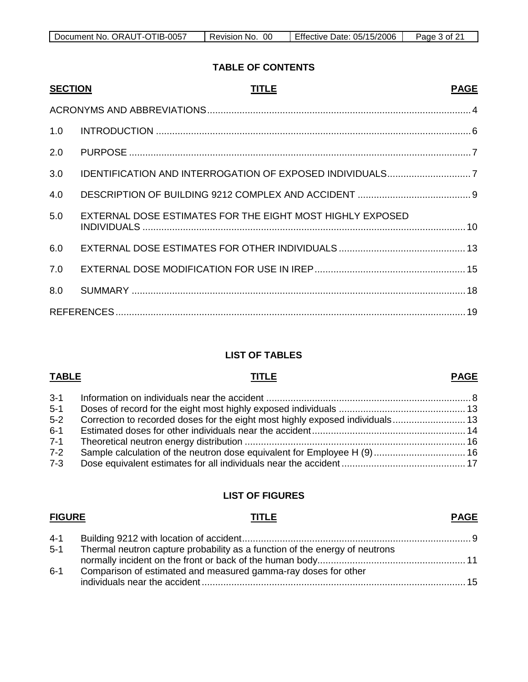| Document No. ORAUT-OTIB-0057 | Revision No. 00 | Effective Date: 05/15/2006 | Page 3 of 21 |
|------------------------------|-----------------|----------------------------|--------------|

#### **TABLE OF CONTENTS**

| <b>SECTION</b> | <b>TITLE</b>                                              | <b>PAGE</b> |
|----------------|-----------------------------------------------------------|-------------|
|                |                                                           |             |
| 1.0            |                                                           |             |
| 2.0            |                                                           |             |
| 3.0            |                                                           |             |
| 4.0            |                                                           |             |
| 5.0            | EXTERNAL DOSE ESTIMATES FOR THE EIGHT MOST HIGHLY EXPOSED |             |
| 6.0            |                                                           |             |
| 7.0            |                                                           |             |
| 8.0            |                                                           |             |
|                |                                                           |             |

#### **LIST OF TABLES**

#### 3-1 Information on individuals near the accident ............................................................................ 8 5-1 Doses of record for the eight most highly exposed individuals ............................................... 13 5-2 Correction to recorded doses for the eight most highly exposed individuals........................... 13 6-1 Estimated doses for other individuals near the accident......................................................... 14 7-1 Theoretical neutron energy distribution .................................................................................. 16 7-2 Sample calculation of the neutron dose equivalent for Employee H (9).................................. 16 7-3 Dose equivalent estimates for all individuals near the accident .............................................. 17

#### **LIST OF FIGURES**

# **FIGURE TITLE**

# **PAGE**

**PAGE**

| $4 - 1$ |                                                                             |  |
|---------|-----------------------------------------------------------------------------|--|
| 5-1     | Thermal neutron capture probability as a function of the energy of neutrons |  |
|         |                                                                             |  |
| $6 - 1$ | Comparison of estimated and measured gamma-ray doses for other              |  |
|         |                                                                             |  |

#### **TABLE TITLE**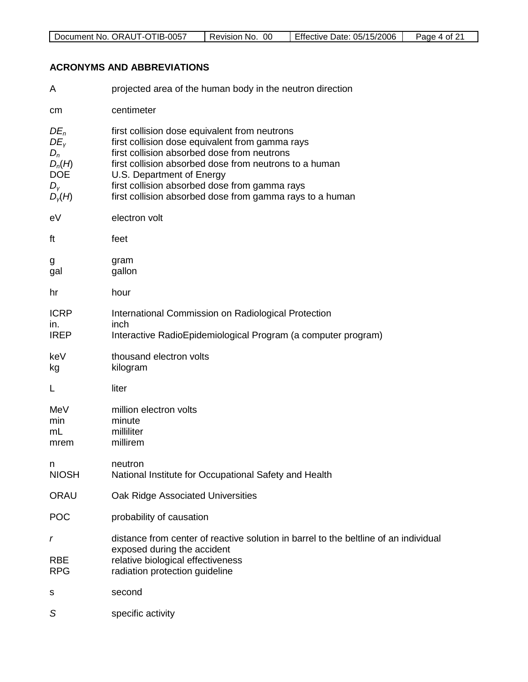| 0057<br>ORAU <sup>T</sup><br>Document<br>No.<br>- 112-<br>╍ | 00<br>evision!<br>NO. | --<br>05/15/2006<br>Date:<br>Effective | Page<br>0t. |
|-------------------------------------------------------------|-----------------------|----------------------------------------|-------------|

### **ACRONYMS AND ABBREVIATIONS**

| A                                                                              | projected area of the human body in the neutron direction                                                                                                                                                                                                                                                                                           |
|--------------------------------------------------------------------------------|-----------------------------------------------------------------------------------------------------------------------------------------------------------------------------------------------------------------------------------------------------------------------------------------------------------------------------------------------------|
| cm                                                                             | centimeter                                                                                                                                                                                                                                                                                                                                          |
| $DE_n$<br>$DE_v$<br>$D_n$<br>$D_n(H)$<br><b>DOE</b><br>$D_{\rm V}$<br>$D_v(H)$ | first collision dose equivalent from neutrons<br>first collision dose equivalent from gamma rays<br>first collision absorbed dose from neutrons<br>first collision absorbed dose from neutrons to a human<br>U.S. Department of Energy<br>first collision absorbed dose from gamma rays<br>first collision absorbed dose from gamma rays to a human |
| eV                                                                             | electron volt                                                                                                                                                                                                                                                                                                                                       |
| ft                                                                             | feet                                                                                                                                                                                                                                                                                                                                                |
| g<br>gal                                                                       | gram<br>gallon                                                                                                                                                                                                                                                                                                                                      |
| hr                                                                             | hour                                                                                                                                                                                                                                                                                                                                                |
| <b>ICRP</b><br>In.<br><b>IREP</b>                                              | International Commission on Radiological Protection<br>inch<br>Interactive RadioEpidemiological Program (a computer program)                                                                                                                                                                                                                        |
| keV<br>kg                                                                      | thousand electron volts<br>kilogram                                                                                                                                                                                                                                                                                                                 |
| L                                                                              | liter                                                                                                                                                                                                                                                                                                                                               |
| MeV<br>min<br>mL<br>mrem                                                       | million electron volts<br>minute<br>milliliter<br>millirem                                                                                                                                                                                                                                                                                          |
| n<br><b>NIOSH</b>                                                              | neutron<br>National Institute for Occupational Safety and Health                                                                                                                                                                                                                                                                                    |
| <b>ORAU</b>                                                                    | Oak Ridge Associated Universities                                                                                                                                                                                                                                                                                                                   |
| POC                                                                            | probability of causation                                                                                                                                                                                                                                                                                                                            |
| r<br><b>RBE</b><br><b>RPG</b>                                                  | distance from center of reactive solution in barrel to the beltline of an individual<br>exposed during the accident<br>relative biological effectiveness<br>radiation protection guideline                                                                                                                                                          |
| s                                                                              | second                                                                                                                                                                                                                                                                                                                                              |
| S                                                                              | specific activity                                                                                                                                                                                                                                                                                                                                   |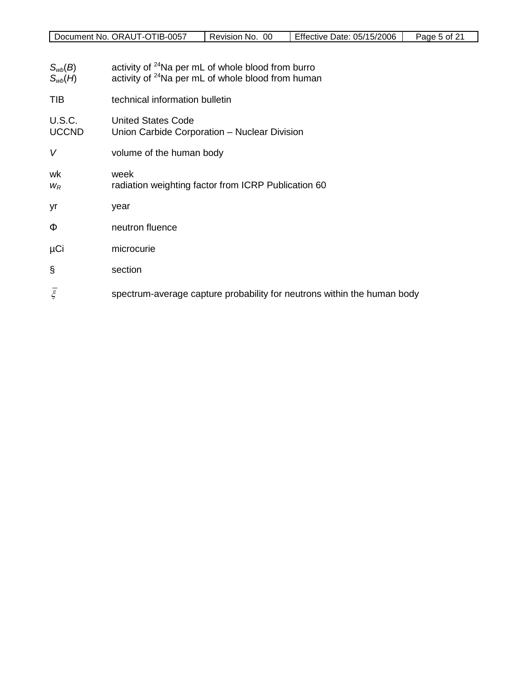| Document No. ORAUT-OTIB-0057 | Revision No. 00 | Effective Date: 05/15/2006 | Page 5 of 21 |
|------------------------------|-----------------|----------------------------|--------------|

- $S_{wb}(B)$  activity of <sup>24</sup>Na per mL of whole blood from burro  $S_{wb}(H)$  activity of <sup>24</sup>Na per mL of whole blood from human
- TIB technical information bulletin
- U.S.C. United States Code<br>UCCND Union Carbide Corpe Union Carbide Corporation – Nuclear Division
- *V* volume of the human body
- wk week
- *w<sub>R</sub>* radiation weighting factor from ICRP Publication 60
- yr year
- Φ neutron fluence
- µCi microcurie
- § section
- $\bar{\xi}$  spectrum-average capture probability for neutrons within the human body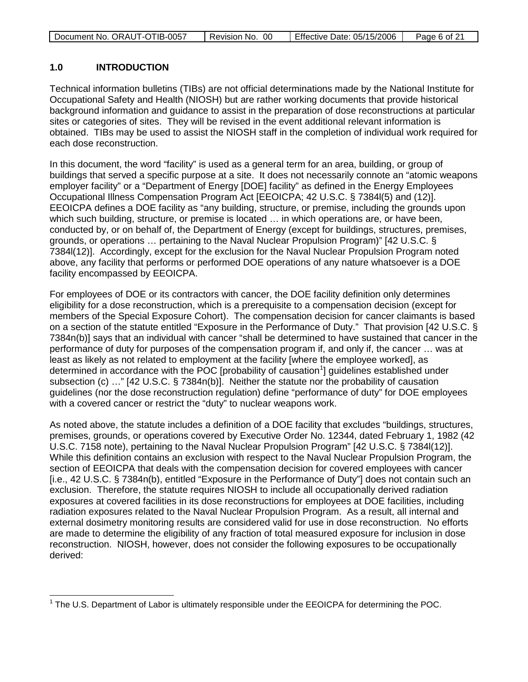|  | Document No. ORAUT-OTIB-0057 | - 00<br>Revision No. | Effective Date: 05/15/2006 | Page 6 of 21 |
|--|------------------------------|----------------------|----------------------------|--------------|
|--|------------------------------|----------------------|----------------------------|--------------|

#### **1.0 INTRODUCTION**

Technical information bulletins (TIBs) are not official determinations made by the National Institute for Occupational Safety and Health (NIOSH) but are rather working documents that provide historical background information and guidance to assist in the preparation of dose reconstructions at particular sites or categories of sites. They will be revised in the event additional relevant information is obtained. TIBs may be used to assist the NIOSH staff in the completion of individual work required for each dose reconstruction.

In this document, the word "facility" is used as a general term for an area, building, or group of buildings that served a specific purpose at a site. It does not necessarily connote an "atomic weapons employer facility" or a "Department of Energy [DOE] facility" as defined in the Energy Employees Occupational Illness Compensation Program Act [EEOICPA; 42 U.S.C. § 7384l(5) and (12)]. EEOICPA defines a DOE facility as "any building, structure, or premise, including the grounds upon which such building, structure, or premise is located … in which operations are, or have been, conducted by, or on behalf of, the Department of Energy (except for buildings, structures, premises, grounds, or operations … pertaining to the Naval Nuclear Propulsion Program)" [42 U.S.C. § 7384l(12)]. Accordingly, except for the exclusion for the Naval Nuclear Propulsion Program noted above, any facility that performs or performed DOE operations of any nature whatsoever is a DOE facility encompassed by EEOICPA.

For employees of DOE or its contractors with cancer, the DOE facility definition only determines eligibility for a dose reconstruction, which is a prerequisite to a compensation decision (except for members of the Special Exposure Cohort). The compensation decision for cancer claimants is based on a section of the statute entitled "Exposure in the Performance of Duty." That provision [42 U.S.C. § 7384n(b)] says that an individual with cancer "shall be determined to have sustained that cancer in the performance of duty for purposes of the compensation program if, and only if, the cancer … was at least as likely as not related to employment at the facility [where the employee worked], as determined in accordance with the POC [probability of causation<sup>[1](#page-5-0)</sup>] guidelines established under subsection (c) ..." [42 U.S.C. § 7384n(b)]. Neither the statute nor the probability of causation guidelines (nor the dose reconstruction regulation) define "performance of duty" for DOE employees with a covered cancer or restrict the "duty" to nuclear weapons work.

As noted above, the statute includes a definition of a DOE facility that excludes "buildings, structures, premises, grounds, or operations covered by Executive Order No. 12344, dated February 1, 1982 (42 U.S.C. 7158 note), pertaining to the Naval Nuclear Propulsion Program" [42 U.S.C. § 7384l(12)]. While this definition contains an exclusion with respect to the Naval Nuclear Propulsion Program, the section of EEOICPA that deals with the compensation decision for covered employees with cancer [i.e., 42 U.S.C. § 7384n(b), entitled "Exposure in the Performance of Duty"] does not contain such an exclusion. Therefore, the statute requires NIOSH to include all occupationally derived radiation exposures at covered facilities in its dose reconstructions for employees at DOE facilities, including radiation exposures related to the Naval Nuclear Propulsion Program. As a result, all internal and external dosimetry monitoring results are considered valid for use in dose reconstruction. No efforts are made to determine the eligibility of any fraction of total measured exposure for inclusion in dose reconstruction. NIOSH, however, does not consider the following exposures to be occupationally derived:

<span id="page-5-0"></span> $1$  The U.S. Department of Labor is ultimately responsible under the EEOICPA for determining the POC.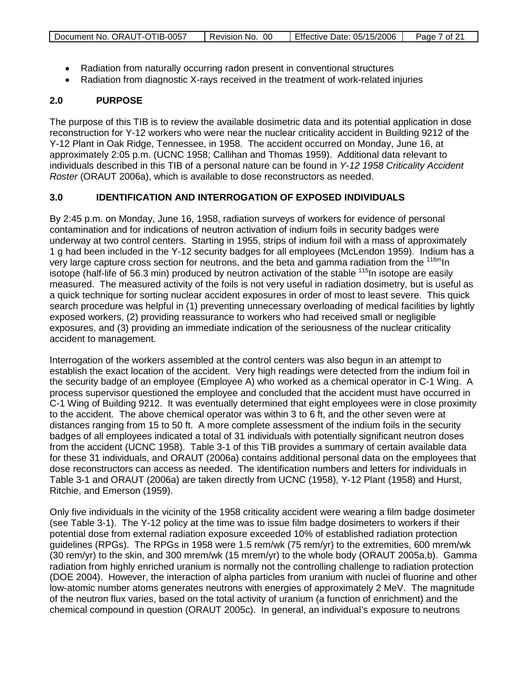|  | Document No. ORAUT-OTIB-0057 | Revision No. 00 | Effective Date: 05/15/2006 | Page 7 of 21 |
|--|------------------------------|-----------------|----------------------------|--------------|
|--|------------------------------|-----------------|----------------------------|--------------|

- Radiation from naturally occurring radon present in conventional structures
- Radiation from diagnostic X-rays received in the treatment of work-related injuries

#### **2.0 PURPOSE**

The purpose of this TIB is to review the available dosimetric data and its potential application in dose reconstruction for Y-12 workers who were near the nuclear criticality accident in Building 9212 of the Y-12 Plant in Oak Ridge, Tennessee, in 1958. The accident occurred on Monday, June 16, at approximately 2:05 p.m. (UCNC 1958; Callihan and Thomas 1959). Additional data relevant to individuals described in this TIB of a personal nature can be found in *Y-12 1958 Criticality Accident Roster* (ORAUT 2006a), which is available to dose reconstructors as needed.

#### **3.0 IDENTIFICATION AND INTERROGATION OF EXPOSED INDIVIDUALS**

By 2:45 p.m. on Monday, June 16, 1958, radiation surveys of workers for evidence of personal contamination and for indications of neutron activation of indium foils in security badges were underway at two control centers. Starting in 1955, strips of indium foil with a mass of approximately 1 g had been included in the Y-12 security badges for all employees (McLendon 1959). Indium has a very large capture cross section for neutrons, and the beta and gamma radiation from the <sup>116m</sup>ln isotope (half-life of 56.3 min) produced by neutron activation of the stable  $^{115}$ In isotope are easily measured. The measured activity of the foils is not very useful in radiation dosimetry, but is useful as a quick technique for sorting nuclear accident exposures in order of most to least severe. This quick search procedure was helpful in (1) preventing unnecessary overloading of medical facilities by lightly exposed workers, (2) providing reassurance to workers who had received small or negligible exposures, and (3) providing an immediate indication of the seriousness of the nuclear criticality accident to management.

Interrogation of the workers assembled at the control centers was also begun in an attempt to establish the exact location of the accident. Very high readings were detected from the indium foil in the security badge of an employee (Employee A) who worked as a chemical operator in C-1 Wing. A process supervisor questioned the employee and concluded that the accident must have occurred in C-1 Wing of Building 9212. It was eventually determined that eight employees were in close proximity to the accident. The above chemical operator was within 3 to 6 ft, and the other seven were at distances ranging from 15 to 50 ft. A more complete assessment of the indium foils in the security badges of all employees indicated a total of 31 individuals with potentially significant neutron doses from the accident (UCNC 1958). Table 3-1 of this TIB provides a summary of certain available data for these 31 individuals, and ORAUT (2006a) contains additional personal data on the employees that dose reconstructors can access as needed. The identification numbers and letters for individuals in Table 3-1 and ORAUT (2006a) are taken directly from UCNC (1958), Y-12 Plant (1958) and Hurst, Ritchie, and Emerson (1959).

Only five individuals in the vicinity of the 1958 criticality accident were wearing a film badge dosimeter (see Table 3-1). The Y-12 policy at the time was to issue film badge dosimeters to workers if their potential dose from external radiation exposure exceeded 10% of established radiation protection guidelines (RPGs). The RPGs in 1958 were 1.5 rem/wk (75 rem/yr) to the extremities, 600 mrem/wk (30 rem/yr) to the skin, and 300 mrem/wk (15 mrem/yr) to the whole body (ORAUT 2005a,b). Gamma radiation from highly enriched uranium is normally not the controlling challenge to radiation protection (DOE 2004). However, the interaction of alpha particles from uranium with nuclei of fluorine and other low-atomic number atoms generates neutrons with energies of approximately 2 MeV. The magnitude of the neutron flux varies, based on the total activity of uranium (a function of enrichment) and the chemical compound in question (ORAUT 2005c). In general, an individual's exposure to neutrons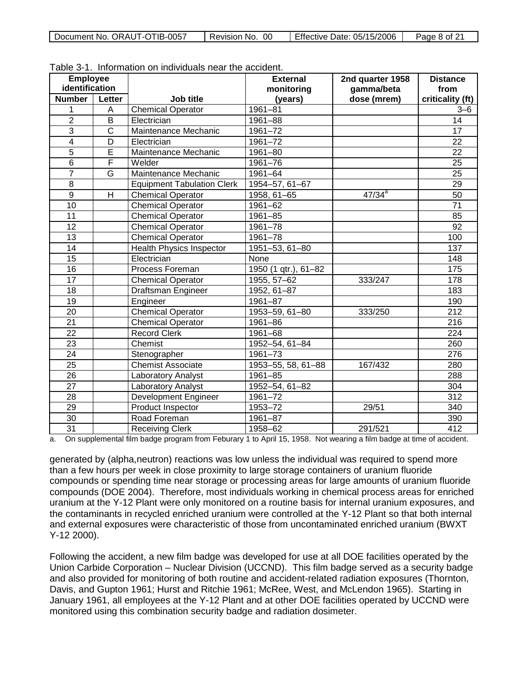| Document No. ORAUT-OTIB-0057 | Revision No. 00 | Effective Date: 05/15/2006 | Page 8 of 21 |
|------------------------------|-----------------|----------------------------|--------------|
|------------------------------|-----------------|----------------------------|--------------|

| <b>Employee</b> |              |                                   | <b>External</b>       | 2nd quarter 1958 | <b>Distance</b>  |
|-----------------|--------------|-----------------------------------|-----------------------|------------------|------------------|
| identification  |              |                                   | monitoring            | gamma/beta       | from             |
| <b>Number</b>   | Letter       | Job title                         | (years)               | dose (mrem)      | criticality (ft) |
| 1               | A            | <b>Chemical Operator</b>          | $1961 - 81$           |                  | $3 - 6$          |
| $\overline{2}$  | B            | Electrician                       | 1961-88               |                  | 14               |
| $\overline{3}$  | $\mathsf{C}$ | Maintenance Mechanic              | 1961-72               |                  | 17               |
| $\overline{4}$  | D            | Electrician                       | 1961-72               |                  | 22               |
| $\overline{5}$  | Ē            | Maintenance Mechanic              | 1961-80               |                  | $\overline{22}$  |
| $\overline{6}$  | F            | Welder                            | 1961-76               |                  | $\overline{25}$  |
| $\overline{7}$  | G            | Maintenance Mechanic              | 1961-64               |                  | $\overline{25}$  |
| 8               |              | <b>Equipment Tabulation Clerk</b> | 1954-57, 61-67        |                  | 29               |
| $\overline{9}$  | H            | <b>Chemical Operator</b>          | 1958, 61-65           | $47/34^{a}$      | 50               |
| 10              |              | <b>Chemical Operator</b>          | 1961-62               |                  | 71               |
| 11              |              | <b>Chemical Operator</b>          | $1961 - 85$           |                  | 85               |
| 12              |              | <b>Chemical Operator</b>          | 1961-78               |                  | 92               |
| $\overline{13}$ |              | <b>Chemical Operator</b>          | 1961-78               |                  | 100              |
| 14              |              | <b>Health Physics Inspector</b>   | 1951-53, 61-80        |                  | 137              |
| $\overline{15}$ |              | Electrician                       | None                  |                  | 148              |
| 16              |              | Process Foreman                   | $1950(1$ qtr.), 61-82 |                  | 175              |
| $\overline{17}$ |              | <b>Chemical Operator</b>          | 1955, 57-62           | 333/247          | 178              |
| 18              |              | <b>Draftsman Engineer</b>         | 1952, 61-87           |                  | 183              |
| 19              |              | Engineer                          | 1961-87               |                  | 190              |
| 20              |              | <b>Chemical Operator</b>          | 1953-59, 61-80        | 333/250          | 212              |
| 21              |              | Chemical Operator                 | 1961-86               |                  | 216              |
| 22              |              | <b>Record Clerk</b>               | 1961-68               |                  | 224              |
| 23              |              | Chemist                           | 1952-54, 61-84        |                  | 260              |
| 24              |              | Stenographer                      | 1961-73               |                  | 276              |
| $\overline{25}$ |              | <b>Chemist Associate</b>          | 1953-55, 58, 61-88    | 167/432          | 280              |
| $\overline{26}$ |              | Laboratory Analyst                | 1961-85               |                  | 288              |
| 27              |              | Laboratory Analyst                | 1952-54, 61-82        |                  | 304              |
| 28              |              | <b>Development Engineer</b>       | $1961 - 72$           |                  | $\overline{312}$ |
| 29              |              | Product Inspector                 | 1953-72               | 29/51            | 340              |
| $\overline{30}$ |              | Road Foreman                      | 1961-87               |                  | 390              |
| 31              |              | <b>Receiving Clerk</b>            | 1958-62               | 291/521          | 412              |

Table 3-1. Information on individuals near the accident.

a. On supplemental film badge program from Feburary 1 to April 15, 1958. Not wearing a film badge at time of accident.

generated by (alpha,neutron) reactions was low unless the individual was required to spend more than a few hours per week in close proximity to large storage containers of uranium fluoride compounds or spending time near storage or processing areas for large amounts of uranium fluoride compounds (DOE 2004). Therefore, most individuals working in chemical process areas for enriched uranium at the Y-12 Plant were only monitored on a routine basis for internal uranium exposures, and the contaminants in recycled enriched uranium were controlled at the Y-12 Plant so that both internal and external exposures were characteristic of those from uncontaminated enriched uranium (BWXT Y-12 2000).

Following the accident, a new film badge was developed for use at all DOE facilities operated by the Union Carbide Corporation – Nuclear Division (UCCND). This film badge served as a security badge and also provided for monitoring of both routine and accident-related radiation exposures (Thornton, Davis, and Gupton 1961; Hurst and Ritchie 1961; McRee, West, and McLendon 1965). Starting in January 1961, all employees at the Y-12 Plant and at other DOE facilities operated by UCCND were monitored using this combination security badge and radiation dosimeter.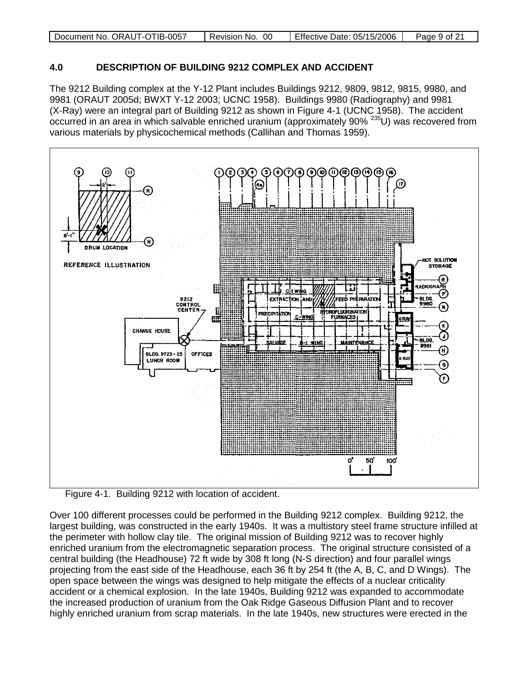| Document No. ORAUT-OTIB-0057 | - 00<br>Revision No. | Effective Date: 05/15/2006 | Page 9 of 21 |
|------------------------------|----------------------|----------------------------|--------------|
|                              |                      |                            |              |

#### **4.0 DESCRIPTION OF BUILDING 9212 COMPLEX AND ACCIDENT**

The 9212 Building complex at the Y-12 Plant includes Buildings 9212, 9809, 9812, 9815, 9980, and 9981 (ORAUT 2005d; BWXT Y-12 2003; UCNC 1958). Buildings 9980 (Radiography) and 9981 (X-Ray) were an integral part of Building 9212 as shown in Figure 4-1 (UCNC 1958). The accident occurred in an area in which salvable enriched uranium (approximately 90% 235U) was recovered from various materials by physicochemical methods (Callihan and Thomas 1959).



<span id="page-8-0"></span>Figure 4-1. Building 9212 with location of accident.

Over 100 different processes could be performed in the Building 9212 complex. Building 9212, the largest building, was constructed in the early 1940s. It was a multistory steel frame structure infilled at the perimeter with hollow clay tile. The original mission of Building 9212 was to recover highly enriched uranium from the electromagnetic separation process. The original structure consisted of a central building (the Headhouse) 72 ft wide by 308 ft long (N-S direction) and four parallel wings projecting from the east side of the Headhouse, each 36 ft by 254 ft (the A, B, C, and D Wings). The open space between the wings was designed to help mitigate the effects of a nuclear criticality accident or a chemical explosion. In the late 1940s, Building 9212 was expanded to accommodate the increased production of uranium from the Oak Ridge Gaseous Diffusion Plant and to recover highly enriched uranium from scrap materials. In the late 1940s, new structures were erected in the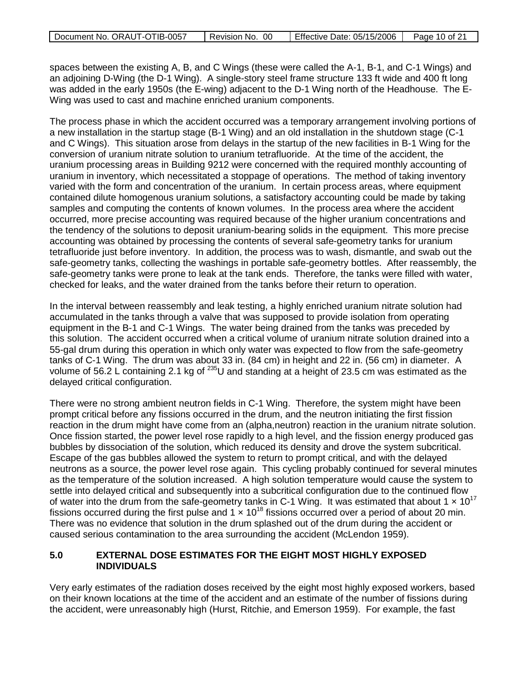| Document No. ORAUT-OTIB-0057 | Revision No. 00 | Effective Date: 05/15/2006 | Page 10 of 21 |
|------------------------------|-----------------|----------------------------|---------------|
|                              |                 |                            |               |

spaces between the existing A, B, and C Wings (these were called the A-1, B-1, and C-1 Wings) and an adjoining D-Wing (the D-1 Wing). A single-story steel frame structure 133 ft wide and 400 ft long was added in the early 1950s (the E-wing) adjacent to the D-1 Wing north of the Headhouse. The E-Wing was used to cast and machine enriched uranium components.

The process phase in which the accident occurred was a temporary arrangement involving portions of a new installation in the startup stage (B-1 Wing) and an old installation in the shutdown stage (C-1 and C Wings). This situation arose from delays in the startup of the new facilities in B-1 Wing for the conversion of uranium nitrate solution to uranium tetrafluoride. At the time of the accident, the uranium processing areas in Building 9212 were concerned with the required monthly accounting of uranium in inventory, which necessitated a stoppage of operations. The method of taking inventory varied with the form and concentration of the uranium. In certain process areas, where equipment contained dilute homogenous uranium solutions, a satisfactory accounting could be made by taking samples and computing the contents of known volumes. In the process area where the accident occurred, more precise accounting was required because of the higher uranium concentrations and the tendency of the solutions to deposit uranium-bearing solids in the equipment. This more precise accounting was obtained by processing the contents of several safe-geometry tanks for uranium tetrafluoride just before inventory. In addition, the process was to wash, dismantle, and swab out the safe-geometry tanks, collecting the washings in portable safe-geometry bottles. After reassembly, the safe-geometry tanks were prone to leak at the tank ends. Therefore, the tanks were filled with water, checked for leaks, and the water drained from the tanks before their return to operation.

In the interval between reassembly and leak testing, a highly enriched uranium nitrate solution had accumulated in the tanks through a valve that was supposed to provide isolation from operating equipment in the B-1 and C-1 Wings. The water being drained from the tanks was preceded by this solution. The accident occurred when a critical volume of uranium nitrate solution drained into a 55-gal drum during this operation in which only water was expected to flow from the safe-geometry tanks of C-1 Wing. The drum was about 33 in. (84 cm) in height and 22 in. (56 cm) in diameter. A volume of 56.2 L containing 2.1 kg of <sup>235</sup>U and standing at a height of 23.5 cm was estimated as the delayed critical configuration.

There were no strong ambient neutron fields in C-1 Wing. Therefore, the system might have been prompt critical before any fissions occurred in the drum, and the neutron initiating the first fission reaction in the drum might have come from an (alpha,neutron) reaction in the uranium nitrate solution. Once fission started, the power level rose rapidly to a high level, and the fission energy produced gas bubbles by dissociation of the solution, which reduced its density and drove the system subcritical. Escape of the gas bubbles allowed the system to return to prompt critical, and with the delayed neutrons as a source, the power level rose again. This cycling probably continued for several minutes as the temperature of the solution increased. A high solution temperature would cause the system to settle into delayed critical and subsequently into a subcritical configuration due to the continued flow of water into the drum from the safe-geometry tanks in C-1 Wing. It was estimated that about 1  $\times$  10<sup>17</sup> fissions occurred during the first pulse and  $1 \times 10^{18}$  fissions occurred over a period of about 20 min. There was no evidence that solution in the drum splashed out of the drum during the accident or caused serious contamination to the area surrounding the accident (McLendon 1959).

#### **5.0 EXTERNAL DOSE ESTIMATES FOR THE EIGHT MOST HIGHLY EXPOSED INDIVIDUALS**

Very early estimates of the radiation doses received by the eight most highly exposed workers, based on their known locations at the time of the accident and an estimate of the number of fissions during the accident, were unreasonably high (Hurst, Ritchie, and Emerson 1959). For example, the fast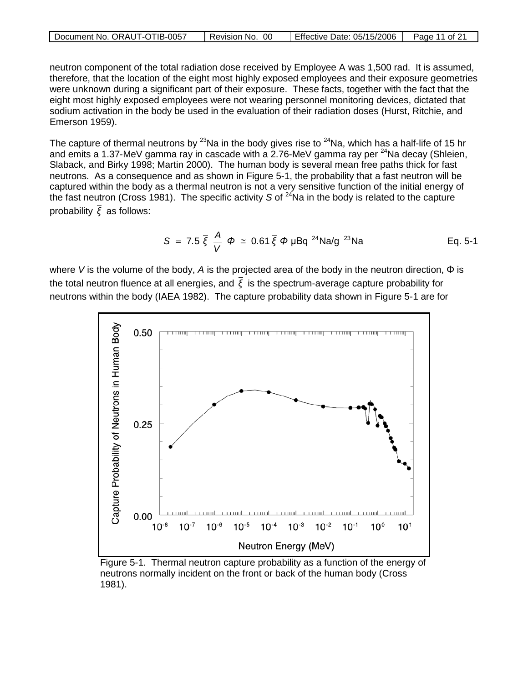| Document No. ORAUT-OTIB-0057 | 00<br>Revision No. | Effective Date: 05/15/2006 | Page 11 of 21 |
|------------------------------|--------------------|----------------------------|---------------|

neutron component of the total radiation dose received by Employee A was 1,500 rad. It is assumed, therefore, that the location of the eight most highly exposed employees and their exposure geometries were unknown during a significant part of their exposure. These facts, together with the fact that the eight most highly exposed employees were not wearing personnel monitoring devices, dictated that sodium activation in the body be used in the evaluation of their radiation doses (Hurst, Ritchie, and Emerson 1959).

The capture of thermal neutrons by <sup>23</sup>Na in the body gives rise to <sup>24</sup>Na, which has a half-life of 15 hr and emits a 1.37-MeV gamma ray in cascade with a 2.76-MeV gamma ray per  $^{24}$ Na decay (Shleien, Slaback, and Birky 1998; Martin 2000). The human body is several mean free paths thick for fast neutrons. As a consequence and as shown in Figure 5-1, the probability that a fast neutron will be captured within the body as a thermal neutron is not a very sensitive function of the initial energy of the fast neutron (Cross 1981). The specific activity *S* of <sup>24</sup>Na in the body is related to the capture probability *ξ* as follows:

$$
S = 7.5 \, \bar{\xi} \, \frac{A}{V} \, \Phi \, \cong \, 0.61 \, \bar{\xi} \, \Phi \, \mu B q^{24} Na/g^{23} Na
$$
 \tEq. 5-1

where *V* is the volume of the body, *A* is the projected area of the body in the neutron direction, Φ is the total neutron fluence at all energies, and *ξ* is the spectrum-average capture probability for neutrons within the body (IAEA 1982). The capture probability data shown in Figure 5-1 are for



Figure 5-1. Thermal neutron capture probability as a function of the energy of neutrons normally incident on the front or back of the human body (Cross 1981).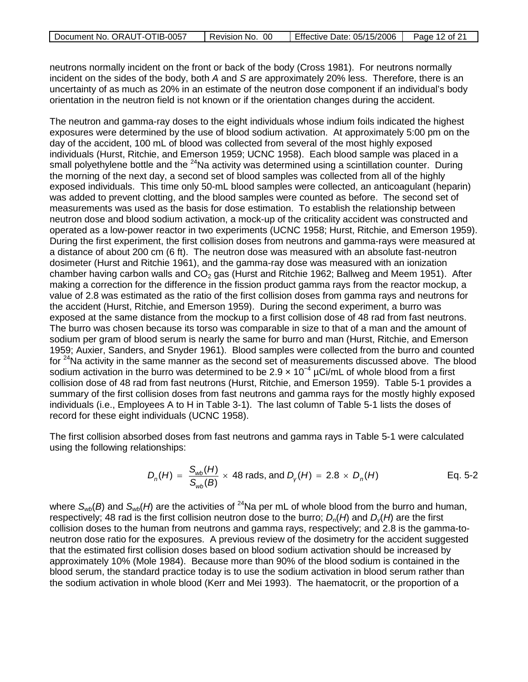| Document No. ORAUT-OTIB-0057 | . 00<br>Revision No. | Effective Date: 05/15/2006 | Page 12 of 21 |
|------------------------------|----------------------|----------------------------|---------------|
|                              |                      |                            |               |

neutrons normally incident on the front or back of the body (Cross 1981). For neutrons normally incident on the sides of the body, both *A* and *S* are approximately 20% less. Therefore, there is an uncertainty of as much as 20% in an estimate of the neutron dose component if an individual's body orientation in the neutron field is not known or if the orientation changes during the accident.

The neutron and gamma-ray doses to the eight individuals whose indium foils indicated the highest exposures were determined by the use of blood sodium activation. At approximately 5:00 pm on the day of the accident, 100 mL of blood was collected from several of the most highly exposed individuals (Hurst, Ritchie, and Emerson 1959; UCNC 1958). Each blood sample was placed in a small polyethylene bottle and the  $^{24}$ Na activity was determined using a scintillation counter. During the morning of the next day, a second set of blood samples was collected from all of the highly exposed individuals. This time only 50-mL blood samples were collected, an anticoagulant (heparin) was added to prevent clotting, and the blood samples were counted as before. The second set of measurements was used as the basis for dose estimation. To establish the relationship between neutron dose and blood sodium activation, a mock-up of the criticality accident was constructed and operated as a low-power reactor in two experiments (UCNC 1958; Hurst, Ritchie, and Emerson 1959). During the first experiment, the first collision doses from neutrons and gamma-rays were measured at a distance of about 200 cm (6 ft). The neutron dose was measured with an absolute fast-neutron dosimeter (Hurst and Ritchie 1961), and the gamma-ray dose was measured with an ionization chamber having carbon walls and  $CO<sub>2</sub>$  gas (Hurst and Ritchie 1962; Ballweg and Meem 1951). After making a correction for the difference in the fission product gamma rays from the reactor mockup, a value of 2.8 was estimated as the ratio of the first collision doses from gamma rays and neutrons for the accident (Hurst, Ritchie, and Emerson 1959). During the second experiment, a burro was exposed at the same distance from the mockup to a first collision dose of 48 rad from fast neutrons. The burro was chosen because its torso was comparable in size to that of a man and the amount of sodium per gram of blood serum is nearly the same for burro and man (Hurst, Ritchie, and Emerson 1959; Auxier, Sanders, and Snyder 1961). Blood samples were collected from the burro and counted for  $24$ Na activity in the same manner as the second set of measurements discussed above. The blood sodium activation in the burro was determined to be 2.9  $\times$  10<sup>-4</sup> µCi/mL of whole blood from a first collision dose of 48 rad from fast neutrons (Hurst, Ritchie, and Emerson 1959). Table 5-1 provides a summary of the first collision doses from fast neutrons and gamma rays for the mostly highly exposed individuals (i.e., Employees A to H in Table 3-1). The last column of Table 5-1 lists the doses of record for these eight individuals (UCNC 1958).

The first collision absorbed doses from fast neutrons and gamma rays in Table 5-1 were calculated using the following relationships:

$$
D_n(H) = \frac{S_{wb}(H)}{S_{wb}(B)} \times 48 \text{ rads, and } D_V(H) = 2.8 \times D_n(H) \qquad \qquad \text{Eq. 5-2}
$$

where  $S_{wb}(B)$  and  $S_{wb}(H)$  are the activities of <sup>24</sup>Na per mL of whole blood from the burro and human, respectively; 48 rad is the first collision neutron dose to the burro; *Dn*(*H*) and *Dγ*(*H*) are the first collision doses to the human from neutrons and gamma rays, respectively; and 2.8 is the gamma-toneutron dose ratio for the exposures. A previous review of the dosimetry for the accident suggested that the estimated first collision doses based on blood sodium activation should be increased by approximately 10% (Mole 1984). Because more than 90% of the blood sodium is contained in the blood serum, the standard practice today is to use the sodium activation in blood serum rather than the sodium activation in whole blood (Kerr and Mei 1993). The haematocrit, or the proportion of a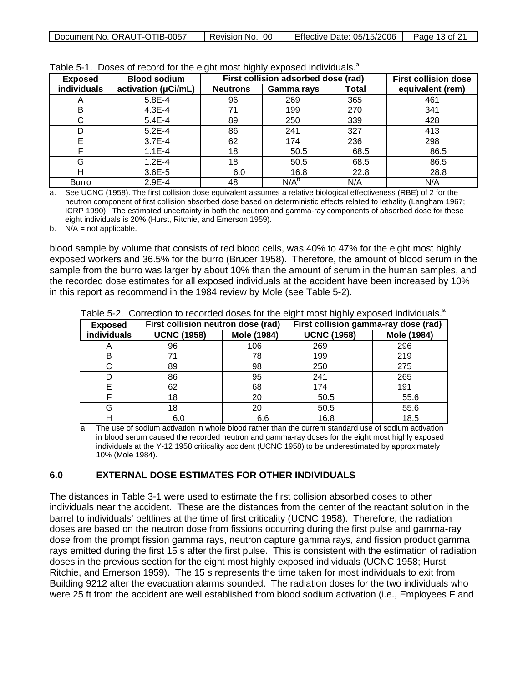| Document No. ORAUT-OTIB-0057 | Revision No. 00 | Effective Date: 05/15/2006 | Page 13 of 21 |
|------------------------------|-----------------|----------------------------|---------------|
|------------------------------|-----------------|----------------------------|---------------|

| First collision adsorbed dose (rad)<br><b>Blood sodium</b><br><b>Exposed</b> |                     |                 |            | rapid only Doodo or robord for the organization righty oxpoced individually. | <b>First collision dose</b> |
|------------------------------------------------------------------------------|---------------------|-----------------|------------|------------------------------------------------------------------------------|-----------------------------|
| individuals                                                                  | activation (µCi/mL) | <b>Neutrons</b> | Gamma rays | Total                                                                        | equivalent (rem)            |
| $\mathsf{A}$                                                                 | 5.8E-4              | 96              | 269        | 365                                                                          | 461                         |
| B                                                                            | $4.3E - 4$          | 71              | 199        | 270                                                                          | 341                         |
| C                                                                            | $5.4E - 4$          | 89              | 250        | 339                                                                          | 428                         |
|                                                                              | $5.2E - 4$          | 86              | 241        | 327                                                                          | 413                         |
| Е                                                                            | $3.7E - 4$          | 62              | 174        | 236                                                                          | 298                         |
| E                                                                            | $1.1E - 4$          | 18              | 50.5       | 68.5                                                                         | 86.5                        |
| G                                                                            | $1.2E - 4$          | 18              | 50.5       | 68.5                                                                         | 86.5                        |
| Н                                                                            | $3.6E - 5$          | 6.0             | 16.8       | 22.8                                                                         | 28.8                        |
| <b>Burro</b>                                                                 | $2.9E - 4$          | 48              | $N/A^b$    | N/A                                                                          | N/A                         |

| Table 5-1. Doses of record for the eight most highly exposed individuals. <sup>a</sup> |  |  |
|----------------------------------------------------------------------------------------|--|--|
|----------------------------------------------------------------------------------------|--|--|

a. See UCNC (1958). The first collision dose equivalent assumes a relative biological effectiveness (RBE) of 2 for the neutron component of first collision absorbed dose based on deterministic effects related to lethality (Langham 1967; ICRP 1990). The estimated uncertainty in both the neutron and gamma-ray components of absorbed dose for these eight individuals is 20% (Hurst, Ritchie, and Emerson 1959).

b.  $N/A = not applicable.$ 

blood sample by volume that consists of red blood cells, was 40% to 47% for the eight most highly exposed workers and 36.5% for the burro (Brucer 1958). Therefore, the amount of blood serum in the sample from the burro was larger by about 10% than the amount of serum in the human samples, and the recorded dose estimates for all exposed individuals at the accident have been increased by 10% in this report as recommend in the 1984 review by Mole (see Table 5-2).

| <b>Exposed</b>     | First collision neutron dose (rad) |             | First collision gamma-ray dose (rad) |             |
|--------------------|------------------------------------|-------------|--------------------------------------|-------------|
| <b>individuals</b> | <b>UCNC (1958)</b>                 | Mole (1984) | <b>UCNC (1958)</b>                   | Mole (1984) |
| A                  | 96                                 | 106         | 269                                  | 296         |
| B                  | 71                                 | 78          | 199                                  | 219         |
|                    | 89                                 | 98          | 250                                  | 275         |
| D                  | 86                                 | 95          | 241                                  | 265         |
| F                  | 62                                 | 68          | 174                                  | 191         |
|                    | 18                                 | 20          | 50.5                                 | 55.6        |
| G                  | 18                                 | 20          | 50.5                                 | 55.6        |
|                    | 6.0                                | 6.6         | 16.8                                 | 18.5        |

Table 5-2. Correction to recorded doses for the eight most highly exposed individuals.<sup>a</sup>

a. The use of sodium activation in whole blood rather than the current standard use of sodium activation in blood serum caused the recorded neutron and gamma-ray doses for the eight most highly exposed individuals at the Y-12 1958 criticality accident (UCNC 1958) to be underestimated by approximately 10% (Mole 1984).

#### **6.0 EXTERNAL DOSE ESTIMATES FOR OTHER INDIVIDUALS**

The distances in Table 3-1 were used to estimate the first collision absorbed doses to other individuals near the accident. These are the distances from the center of the reactant solution in the barrel to individuals' beltlines at the time of first criticality (UCNC 1958). Therefore, the radiation doses are based on the neutron dose from fissions occurring during the first pulse and gamma-ray dose from the prompt fission gamma rays, neutron capture gamma rays, and fission product gamma rays emitted during the first 15 s after the first pulse. This is consistent with the estimation of radiation doses in the previous section for the eight most highly exposed individuals (UCNC 1958; Hurst, Ritchie, and Emerson 1959). The 15 s represents the time taken for most individuals to exit from Building 9212 after the evacuation alarms sounded. The radiation doses for the two individuals who were 25 ft from the accident are well established from blood sodium activation (i.e., Employees F and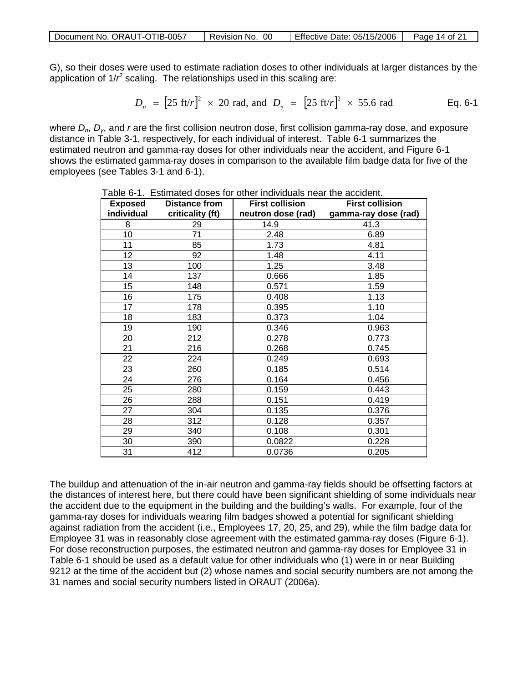| Document No. ORAUT-OTIB-0057 | Revision No. 00 | Effective Date: 05/15/2006 | Page 14 of 21 |
|------------------------------|-----------------|----------------------------|---------------|
|                              |                 |                            |               |

G), so their doses were used to estimate radiation doses to other individuals at larger distances by the application of 1/r<sup>2</sup> scaling. The relationships used in this scaling are:

$$
D_n = [25 \text{ ft}/r]^2 \times 20 \text{ rad, and } D_\gamma = [25 \text{ ft}/r]^2 \times 55.6 \text{ rad}
$$
 Eq. 6-1

where *D<sub>n</sub>*, *D<sub>v</sub>*, and *r* are the first collision neutron dose, first collision gamma-ray dose, and exposure distance in Table 3-1, respectively, for each individual of interest. Table 6-1 summarizes the estimated neutron and gamma-ray doses for other individuals near the accident, and Figure 6-1 shows the estimated gamma-ray doses in comparison to the available film badge data for five of the employees (see Tables 3-1 and 6-1).

| <b>Exposed</b> | <b>Distance from</b> | <b>First collision</b> | <b>First collision</b> |
|----------------|----------------------|------------------------|------------------------|
| individual     | criticality (ft)     | neutron dose (rad)     | gamma-ray dose (rad)   |
| 8              | 29                   | 14.9                   | 41.3                   |
| 10             | 71                   | 2.48                   | 6.89                   |
| 11             | 85                   | 1.73                   | 4.81                   |
| 12             | 92                   | 1.48                   | 4.11                   |
| 13             | 100                  | 1.25                   | 3.48                   |
| 14             | 137                  | 0.666                  | 1.85                   |
| 15             | 148                  | 0.571                  | 1.59                   |
| 16             | 175                  | 0.408                  | 1.13                   |
| 17             | 178                  | 0.395                  | 1.10                   |
| 18             | 183                  | 0.373                  | 1.04                   |
| 19             | 190                  | 0.346                  | 0.963                  |
| 20             | 212                  | 0.278                  | 0.773                  |
| 21             | 216                  | 0.268                  | 0.745                  |
| 22             | 224                  | 0.249                  | 0.693                  |
| 23             | 260                  | 0.185                  | 0.514                  |
| 24             | 276                  | 0.164                  | 0.456                  |
| 25             | 280                  | 0.159                  | 0.443                  |
| 26             | 288                  | 0.151                  | 0.419                  |
| 27             | 304                  | 0.135                  | 0.376                  |
| 28             | 312                  | 0.128                  | 0.357                  |
| 29             | 340                  | 0.108                  | 0.301                  |
| 30             | 390                  | 0.0822                 | 0.228                  |
| 31             | 412                  | 0.0736                 | 0.205                  |

Table 6-1. Estimated doses for other individuals near the accident.

The buildup and attenuation of the in-air neutron and gamma-ray fields should be offsetting factors at the distances of interest here, but there could have been significant shielding of some individuals near the accident due to the equipment in the building and the building's walls. For example, four of the gamma-ray doses for individuals wearing film badges showed a potential for significant shielding against radiation from the accident (i.e., Employees 17, 20, 25, and 29), while the film badge data for Employee 31 was in reasonably close agreement with the estimated gamma-ray doses (Figure 6-1). For dose reconstruction purposes, the estimated neutron and gamma-ray doses for Employee 31 in Table 6-1 should be used as a default value for other individuals who (1) were in or near Building 9212 at the time of the accident but (2) whose names and social security numbers are not among the 31 names and social security numbers listed in ORAUT (2006a).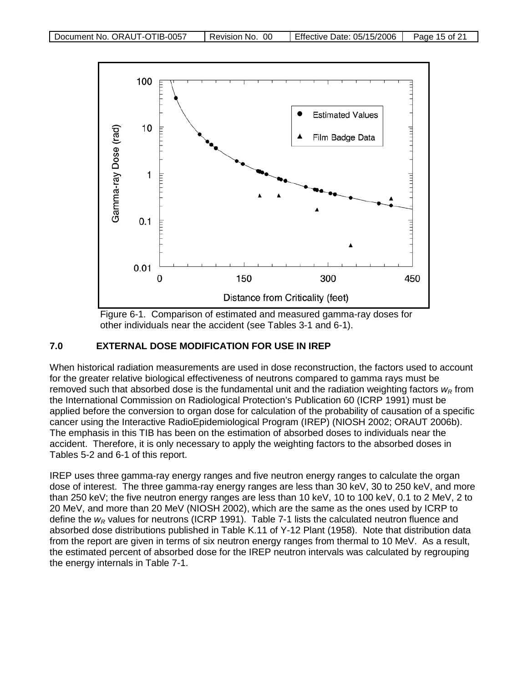

Figure 6-1. Comparison of estimated and measured gamma-ray doses for other individuals near the accident (see Tables 3-1 and 6-1).

#### **7.0 EXTERNAL DOSE MODIFICATION FOR USE IN IREP**

When historical radiation measurements are used in dose reconstruction, the factors used to account for the greater relative biological effectiveness of neutrons compared to gamma rays must be removed such that absorbed dose is the fundamental unit and the radiation weighting factors  $w_R$  from the International Commission on Radiological Protection's Publication 60 (ICRP 1991) must be applied before the conversion to organ dose for calculation of the probability of causation of a specific cancer using the Interactive RadioEpidemiological Program (IREP) (NIOSH 2002; ORAUT 2006b). The emphasis in this TIB has been on the estimation of absorbed doses to individuals near the accident. Therefore, it is only necessary to apply the weighting factors to the absorbed doses in Tables 5-2 and 6-1 of this report.

IREP uses three gamma-ray energy ranges and five neutron energy ranges to calculate the organ dose of interest. The three gamma-ray energy ranges are less than 30 keV, 30 to 250 keV, and more than 250 keV; the five neutron energy ranges are less than 10 keV, 10 to 100 keV, 0.1 to 2 MeV, 2 to 20 MeV, and more than 20 MeV (NIOSH 2002), which are the same as the ones used by ICRP to define the *w<sub>R</sub>* values for neutrons (ICRP 1991). Table 7-1 lists the calculated neutron fluence and absorbed dose distributions published in Table K.11 of Y-12 Plant (1958). Note that distribution data from the report are given in terms of six neutron energy ranges from thermal to 10 MeV. As a result, the estimated percent of absorbed dose for the IREP neutron intervals was calculated by regrouping the energy internals in Table 7-1.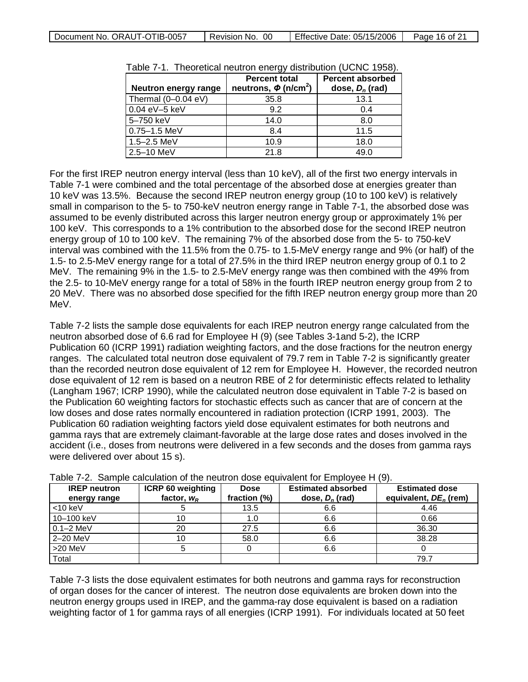| Document No. ORAUT-OTIB-0057 | Revision No. 00 | Effective Date: 05/15/2006 | Page 16 of 21 |
|------------------------------|-----------------|----------------------------|---------------|
|------------------------------|-----------------|----------------------------|---------------|

| Neutron energy range | <b>Percent total</b><br>neutrons, $\phi$ (n/cm <sup>2</sup> ) | <b>Percent absorbed</b><br>dose, $D_n$ (rad) |  |
|----------------------|---------------------------------------------------------------|----------------------------------------------|--|
| Thermal (0-0.04 eV)  | 35.8                                                          | 13.1                                         |  |
| 0.04 eV-5 keV        | 9.2                                                           | 0.4                                          |  |
| 5-750 keV            | 14.0                                                          | 8.0                                          |  |
| $0.75 - 1.5$ MeV     | 8.4                                                           | 11.5                                         |  |
| $1.5 - 2.5$ MeV      | 10.9                                                          | 18.0                                         |  |
| 2.5-10 MeV           | 21.8                                                          | 49.0                                         |  |

Table 7-1. Theoretical neutron energy distribution (UCNC 1958).

For the first IREP neutron energy interval (less than 10 keV), all of the first two energy intervals in Table 7-1 were combined and the total percentage of the absorbed dose at energies greater than 10 keV was 13.5%. Because the second IREP neutron energy group (10 to 100 keV) is relatively small in comparison to the 5- to 750-keV neutron energy range in Table 7-1, the absorbed dose was assumed to be evenly distributed across this larger neutron energy group or approximately 1% per 100 keV. This corresponds to a 1% contribution to the absorbed dose for the second IREP neutron energy group of 10 to 100 keV. The remaining 7% of the absorbed dose from the 5- to 750-keV interval was combined with the 11.5% from the 0.75- to 1.5-MeV energy range and 9% (or half) of the 1.5- to 2.5-MeV energy range for a total of 27.5% in the third IREP neutron energy group of 0.1 to 2 MeV. The remaining 9% in the 1.5- to 2.5-MeV energy range was then combined with the 49% from the 2.5- to 10-MeV energy range for a total of 58% in the fourth IREP neutron energy group from 2 to 20 MeV. There was no absorbed dose specified for the fifth IREP neutron energy group more than 20 MeV.

Table 7-2 lists the sample dose equivalents for each IREP neutron energy range calculated from the neutron absorbed dose of 6.6 rad for Employee H (9) (see Tables 3-1and 5-2), the ICRP Publication 60 (ICRP 1991) radiation weighting factors, and the dose fractions for the neutron energy ranges. The calculated total neutron dose equivalent of 79.7 rem in Table 7-2 is significantly greater than the recorded neutron dose equivalent of 12 rem for Employee H. However, the recorded neutron dose equivalent of 12 rem is based on a neutron RBE of 2 for deterministic effects related to lethality (Langham 1967; ICRP 1990), while the calculated neutron dose equivalent in Table 7-2 is based on the Publication 60 weighting factors for stochastic effects such as cancer that are of concern at the low doses and dose rates normally encountered in radiation protection (ICRP 1991, 2003). The Publication 60 radiation weighting factors yield dose equivalent estimates for both neutrons and gamma rays that are extremely claimant-favorable at the large dose rates and doses involved in the accident (i.e., doses from neutrons were delivered in a few seconds and the doses from gamma rays were delivered over about 15 s).

| <b>IREP</b> neutron<br>energy range | <b>ICRP 60 weighting</b><br>factor, $w_R$ | <b>Dose</b><br>fraction (%) | <b>Estimated absorbed</b><br>dose, $D_n$ (rad) | <b>Estimated dose</b><br>equivalent, $DE_n$ (rem) |
|-------------------------------------|-------------------------------------------|-----------------------------|------------------------------------------------|---------------------------------------------------|
| $<$ 10 keV                          |                                           | 13.5                        | 6.6                                            | 4.46                                              |
| 10-100 keV                          |                                           | 1.0                         | 6.6                                            | 0.66                                              |
| $0.1 - 2$ MeV                       | 20                                        | 27.5                        | 6.6                                            | 36.30                                             |
| $2-20$ MeV                          | 10                                        | 58.0                        | 6.6                                            | 38.28                                             |
| >20 MeV                             |                                           |                             | 6.6                                            |                                                   |
| Total                               |                                           |                             |                                                | 79.7                                              |

| Table 7-2. Sample calculation of the neutron dose equivalent for Employee H (9). |  |  |
|----------------------------------------------------------------------------------|--|--|
|                                                                                  |  |  |

Table 7-3 lists the dose equivalent estimates for both neutrons and gamma rays for reconstruction of organ doses for the cancer of interest. The neutron dose equivalents are broken down into the neutron energy groups used in IREP, and the gamma-ray dose equivalent is based on a radiation weighting factor of 1 for gamma rays of all energies (ICRP 1991). For individuals located at 50 feet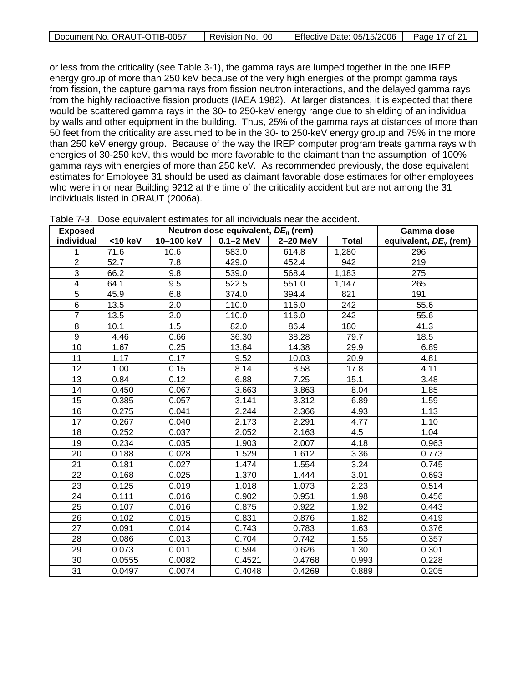| Document No. ORAUT-OTIB-0057 | Revision No. 00 | Effective Date: 05/15/2006 | Page 17 of 21 |
|------------------------------|-----------------|----------------------------|---------------|
|                              |                 |                            |               |

or less from the criticality (see Table 3-1), the gamma rays are lumped together in the one IREP energy group of more than 250 keV because of the very high energies of the prompt gamma rays from fission, the capture gamma rays from fission neutron interactions, and the delayed gamma rays from the highly radioactive fission products (IAEA 1982). At larger distances, it is expected that there would be scattered gamma rays in the 30- to 250-keV energy range due to shielding of an individual by walls and other equipment in the building. Thus, 25% of the gamma rays at distances of more than 50 feet from the criticality are assumed to be in the 30- to 250-keV energy group and 75% in the more than 250 keV energy group. Because of the way the IREP computer program treats gamma rays with energies of 30-250 keV, this would be more favorable to the claimant than the assumption of 100% gamma rays with energies of more than 250 keV. As recommended previously, the dose equivalent estimates for Employee 31 should be used as claimant favorable dose estimates for other employees who were in or near Building 9212 at the time of the criticality accident but are not among the 31 individuals listed in ORAUT (2006a).

| <b>Exposed</b>          | Neutron dose equivalent, $DE_n$ (rem) |            |               |          | Gamma dose   |                                   |
|-------------------------|---------------------------------------|------------|---------------|----------|--------------|-----------------------------------|
| individual              | $\overline{<}10$ keV                  | 10-100 keV | $0.1 - 2$ MeV | 2-20 MeV | <b>Total</b> | equivalent, DE <sub>v</sub> (rem) |
| 1                       | 71.6                                  | 10.6       | 583.0         | 614.8    | 1,280        | 296                               |
| $\overline{2}$          | 52.7                                  | 7.8        | 429.0         | 452.4    | 942          | 219                               |
| $\overline{3}$          | 66.2                                  | 9.8        | 539.0         | 568.4    | 1,183        | 275                               |
| $\overline{\mathbf{4}}$ | 64.1                                  | 9.5        | 522.5         | 551.0    | 1,147        | 265                               |
| $\overline{5}$          | 45.9                                  | 6.8        | 374.0         | 394.4    | 821          | 191                               |
| 6                       | 13.5                                  | 2.0        | 110.0         | 116.0    | 242          | 55.6                              |
| $\overline{7}$          | 13.5                                  | 2.0        | 110.0         | 116.0    | 242          | 55.6                              |
| 8                       | 10.1                                  | 1.5        | 82.0          | 86.4     | 180          | 41.3                              |
| $\overline{9}$          | 4.46                                  | 0.66       | 36.30         | 38.28    | 79.7         | 18.5                              |
| 10                      | 1.67                                  | 0.25       | 13.64         | 14.38    | 29.9         | 6.89                              |
| 11                      | 1.17                                  | 0.17       | 9.52          | 10.03    | 20.9         | 4.81                              |
| $\overline{12}$         | 1.00                                  | 0.15       | 8.14          | 8.58     | 17.8         | 4.11                              |
| 13                      | 0.84                                  | 0.12       | 6.88          | 7.25     | 15.1         | 3.48                              |
| 14                      | 0.450                                 | 0.067      | 3.663         | 3.863    | 8.04         | 1.85                              |
| $\overline{15}$         | 0.385                                 | 0.057      | 3.141         | 3.312    | 6.89         | 1.59                              |
| 16                      | 0.275                                 | 0.041      | 2.244         | 2.366    | 4.93         | 1.13                              |
| $\overline{17}$         | 0.267                                 | 0.040      | 2.173         | 2.291    | 4.77         | 1.10                              |
| 18                      | 0.252                                 | 0.037      | 2.052         | 2.163    | 4.5          | 1.04                              |
| 19                      | 0.234                                 | 0.035      | 1.903         | 2.007    | 4.18         | 0.963                             |
| 20                      | 0.188                                 | 0.028      | 1.529         | 1.612    | 3.36         | 0.773                             |
| 21                      | 0.181                                 | 0.027      | 1.474         | 1.554    | 3.24         | 0.745                             |
| 22                      | 0.168                                 | 0.025      | 1.370         | 1.444    | 3.01         | 0.693                             |
| 23                      | 0.125                                 | 0.019      | 1.018         | 1.073    | 2.23         | 0.514                             |
| 24                      | 0.111                                 | 0.016      | 0.902         | 0.951    | 1.98         | 0.456                             |
| $\overline{25}$         | $\overline{0.107}$                    | 0.016      | 0.875         | 0.922    | 1.92         | 0.443                             |
| 26                      | 0.102                                 | 0.015      | 0.831         | 0.876    | 1.82         | 0.419                             |
| 27                      | 0.091                                 | 0.014      | 0.743         | 0.783    | 1.63         | 0.376                             |
| 28                      | 0.086                                 | 0.013      | 0.704         | 0.742    | 1.55         | 0.357                             |
| 29                      | 0.073                                 | 0.011      | 0.594         | 0.626    | 1.30         | 0.301                             |
| 30                      | 0.0555                                | 0.0082     | 0.4521        | 0.4768   | 0.993        | 0.228                             |
| $\overline{31}$         | 0.0497                                | 0.0074     | 0.4048        | 0.4269   | 0.889        | 0.205                             |

Table 7-3. Dose equivalent estimates for all individuals near the accident.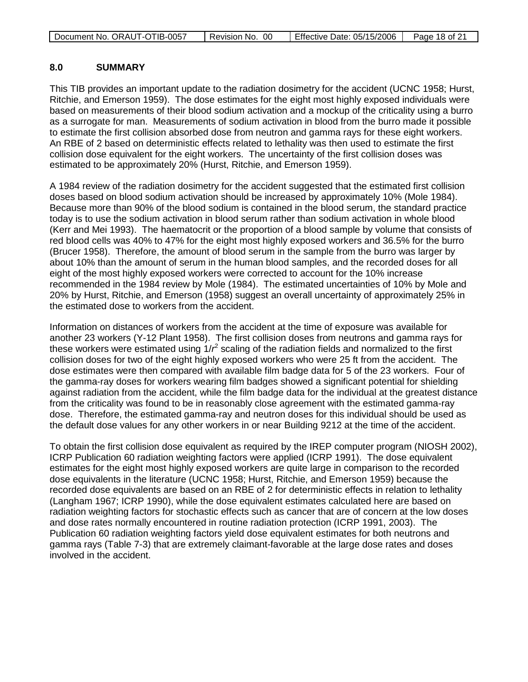| Document No. ORAUT-OTIB-0057 | Revision No. 00 | Effective Date: 05/15/2006 | Page 18 of 21 |
|------------------------------|-----------------|----------------------------|---------------|
|------------------------------|-----------------|----------------------------|---------------|

#### **8.0 SUMMARY**

This TIB provides an important update to the radiation dosimetry for the accident (UCNC 1958; Hurst, Ritchie, and Emerson 1959). The dose estimates for the eight most highly exposed individuals were based on measurements of their blood sodium activation and a mockup of the criticality using a burro as a surrogate for man. Measurements of sodium activation in blood from the burro made it possible to estimate the first collision absorbed dose from neutron and gamma rays for these eight workers. An RBE of 2 based on deterministic effects related to lethality was then used to estimate the first collision dose equivalent for the eight workers. The uncertainty of the first collision doses was estimated to be approximately 20% (Hurst, Ritchie, and Emerson 1959).

A 1984 review of the radiation dosimetry for the accident suggested that the estimated first collision doses based on blood sodium activation should be increased by approximately 10% (Mole 1984). Because more than 90% of the blood sodium is contained in the blood serum, the standard practice today is to use the sodium activation in blood serum rather than sodium activation in whole blood (Kerr and Mei 1993). The haematocrit or the proportion of a blood sample by volume that consists of red blood cells was 40% to 47% for the eight most highly exposed workers and 36.5% for the burro (Brucer 1958). Therefore, the amount of blood serum in the sample from the burro was larger by about 10% than the amount of serum in the human blood samples, and the recorded doses for all eight of the most highly exposed workers were corrected to account for the 10% increase recommended in the 1984 review by Mole (1984). The estimated uncertainties of 10% by Mole and 20% by Hurst, Ritchie, and Emerson (1958) suggest an overall uncertainty of approximately 25% in the estimated dose to workers from the accident.

Information on distances of workers from the accident at the time of exposure was available for another 23 workers (Y-12 Plant 1958). The first collision doses from neutrons and gamma rays for these workers were estimated using 1/ $r^2$  scaling of the radiation fields and normalized to the first collision doses for two of the eight highly exposed workers who were 25 ft from the accident. The dose estimates were then compared with available film badge data for 5 of the 23 workers. Four of the gamma-ray doses for workers wearing film badges showed a significant potential for shielding against radiation from the accident, while the film badge data for the individual at the greatest distance from the criticality was found to be in reasonably close agreement with the estimated gamma-ray dose. Therefore, the estimated gamma-ray and neutron doses for this individual should be used as the default dose values for any other workers in or near Building 9212 at the time of the accident.

To obtain the first collision dose equivalent as required by the IREP computer program (NIOSH 2002), ICRP Publication 60 radiation weighting factors were applied (ICRP 1991). The dose equivalent estimates for the eight most highly exposed workers are quite large in comparison to the recorded dose equivalents in the literature (UCNC 1958; Hurst, Ritchie, and Emerson 1959) because the recorded dose equivalents are based on an RBE of 2 for deterministic effects in relation to lethality (Langham 1967; ICRP 1990), while the dose equivalent estimates calculated here are based on radiation weighting factors for stochastic effects such as cancer that are of concern at the low doses and dose rates normally encountered in routine radiation protection (ICRP 1991, 2003). The Publication 60 radiation weighting factors yield dose equivalent estimates for both neutrons and gamma rays (Table 7-3) that are extremely claimant-favorable at the large dose rates and doses involved in the accident.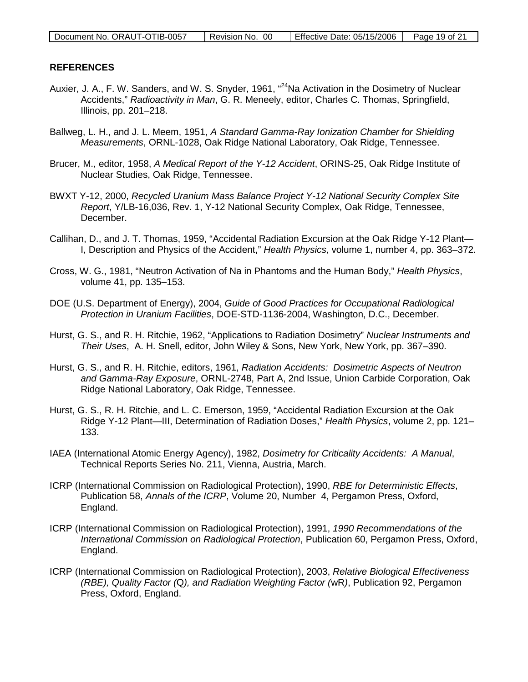| Document No. ORAUT-OTIB-0057 | Revision No. 00 | Effective Date: 05/15/2006 | Page 19 of 21 |
|------------------------------|-----------------|----------------------------|---------------|
|                              |                 |                            |               |

#### **REFERENCES**

- Auxier, J. A., F. W. Sanders, and W. S. Snyder, 1961, "<sup>24</sup>Na Activation in the Dosimetry of Nuclear Accidents," *Radioactivity in Man*, G. R. Meneely, editor, Charles C. Thomas, Springfield, Illinois, pp. 201–218.
- Ballweg, L. H., and J. L. Meem, 1951, *A Standard Gamma-Ray Ionization Chamber for Shielding Measurements*, ORNL-1028, Oak Ridge National Laboratory, Oak Ridge, Tennessee.
- Brucer, M., editor, 1958, *A Medical Report of the Y-12 Accident*, ORINS-25, Oak Ridge Institute of Nuclear Studies, Oak Ridge, Tennessee.
- BWXT Y-12, 2000, *Recycled Uranium Mass Balance Project Y-12 National Security Complex Site Report*, Y/LB-16,036, Rev. 1, Y-12 National Security Complex, Oak Ridge, Tennessee, December.
- Callihan, D., and J. T. Thomas, 1959, "Accidental Radiation Excursion at the Oak Ridge Y-12 Plant— I, Description and Physics of the Accident," *Health Physics*, volume 1, number 4, pp. 363–372.
- Cross, W. G., 1981, "Neutron Activation of Na in Phantoms and the Human Body," *Health Physics*, volume 41, pp. 135–153.
- DOE (U.S. Department of Energy), 2004, *Guide of Good Practices for Occupational Radiological Protection in Uranium Facilities*, DOE-STD-1136-2004, Washington, D.C., December.
- Hurst, G. S., and R. H. Ritchie, 1962, "Applications to Radiation Dosimetry" *Nuclear Instruments and Their Uses*, A. H. Snell, editor, John Wiley & Sons, New York, New York, pp. 367–390.
- Hurst, G. S., and R. H. Ritchie, editors, 1961, *Radiation Accidents: Dosimetric Aspects of Neutron and Gamma-Ray Exposure*, ORNL-2748, Part A, 2nd Issue, Union Carbide Corporation, Oak Ridge National Laboratory, Oak Ridge, Tennessee.
- Hurst, G. S., R. H. Ritchie, and L. C. Emerson, 1959, "Accidental Radiation Excursion at the Oak Ridge Y-12 Plant—III, Determination of Radiation Doses," *Health Physics*, volume 2, pp. 121– 133.
- IAEA (International Atomic Energy Agency), 1982, *Dosimetry for Criticality Accidents: A Manual*, Technical Reports Series No. 211, Vienna, Austria, March.
- ICRP (International Commission on Radiological Protection), 1990, *RBE for Deterministic Effects*, Publication 58, *Annals of the ICRP*, Volume 20, Number 4, Pergamon Press, Oxford, England.
- ICRP (International Commission on Radiological Protection), 1991, *1990 Recommendations of the International Commission on Radiological Protection*, Publication 60, Pergamon Press, Oxford, England.
- ICRP (International Commission on Radiological Protection), 2003, *Relative Biological Effectiveness (RBE), Quality Factor (*Q*), and Radiation Weighting Factor (*wR*)*, Publication 92, Pergamon Press, Oxford, England.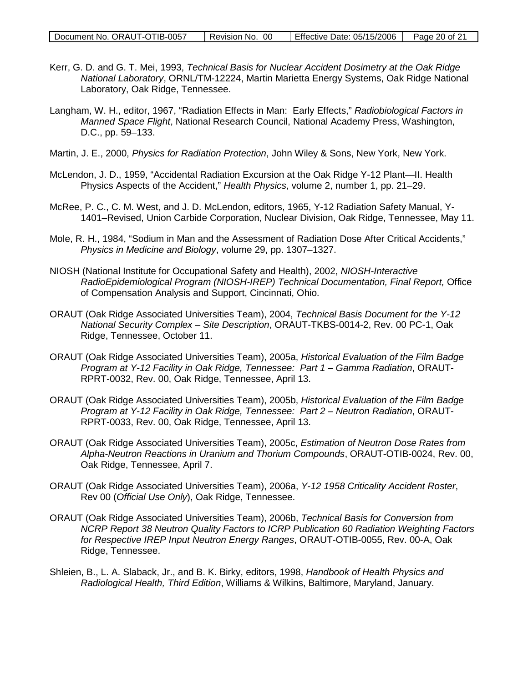| Document No. ORAUT-OTIB-0057 | Revision No. 00 | Effective Date: 05/15/2006 | Page 20 of 21 |
|------------------------------|-----------------|----------------------------|---------------|
|                              |                 |                            |               |

- Kerr, G. D. and G. T. Mei, 1993, *Technical Basis for Nuclear Accident Dosimetry at the Oak Ridge National Laboratory*, ORNL/TM-12224, Martin Marietta Energy Systems, Oak Ridge National Laboratory, Oak Ridge, Tennessee.
- Langham, W. H., editor, 1967, "Radiation Effects in Man: Early Effects," *Radiobiological Factors in Manned Space Flight*, National Research Council, National Academy Press, Washington, D.C., pp. 59–133.
- Martin, J. E., 2000, *Physics for Radiation Protection*, John Wiley & Sons, New York, New York.
- McLendon, J. D., 1959, "Accidental Radiation Excursion at the Oak Ridge Y-12 Plant—II. Health Physics Aspects of the Accident," *Health Physics*, volume 2, number 1, pp. 21–29.
- McRee, P. C., C. M. West, and J. D. McLendon, editors, 1965, Y-12 Radiation Safety Manual, Y-1401–Revised, Union Carbide Corporation, Nuclear Division, Oak Ridge, Tennessee, May 11.
- Mole, R. H., 1984, "Sodium in Man and the Assessment of Radiation Dose After Critical Accidents," *Physics in Medicine and Biology*, volume 29, pp. 1307–1327.
- NIOSH (National Institute for Occupational Safety and Health), 2002, *NIOSH-Interactive RadioEpidemiological Program (NIOSH-IREP) Technical Documentation, Final Report,* Office of Compensation Analysis and Support, Cincinnati, Ohio.
- ORAUT (Oak Ridge Associated Universities Team), 2004, *Technical Basis Document for the Y-12 National Security Complex – Site Description*, ORAUT-TKBS-0014-2, Rev. 00 PC-1, Oak Ridge, Tennessee, October 11.
- ORAUT (Oak Ridge Associated Universities Team), 2005a, *Historical Evaluation of the Film Badge Program at Y-12 Facility in Oak Ridge, Tennessee: Part 1 – Gamma Radiation*, ORAUT-RPRT-0032, Rev. 00, Oak Ridge, Tennessee, April 13.
- ORAUT (Oak Ridge Associated Universities Team), 2005b, *Historical Evaluation of the Film Badge Program at Y-12 Facility in Oak Ridge, Tennessee: Part 2 – Neutron Radiation*, ORAUT-RPRT-0033, Rev. 00, Oak Ridge, Tennessee, April 13.
- ORAUT (Oak Ridge Associated Universities Team), 2005c, *Estimation of Neutron Dose Rates from Alpha-Neutron Reactions in Uranium and Thorium Compounds*, ORAUT-OTIB-0024, Rev. 00, Oak Ridge, Tennessee, April 7.
- ORAUT (Oak Ridge Associated Universities Team), 2006a, *Y-12 1958 Criticality Accident Roster*, Rev 00 (*Official Use Only*), Oak Ridge, Tennessee.
- ORAUT (Oak Ridge Associated Universities Team), 2006b, *Technical Basis for Conversion from NCRP Report 38 Neutron Quality Factors to ICRP Publication 60 Radiation Weighting Factors for Respective IREP Input Neutron Energy Ranges*, ORAUT-OTIB-0055, Rev. 00-A, Oak Ridge, Tennessee.
- Shleien, B., L. A. Slaback, Jr., and B. K. Birky, editors, 1998, *Handbook of Health Physics and Radiological Health, Third Edition*, Williams & Wilkins, Baltimore, Maryland, January.